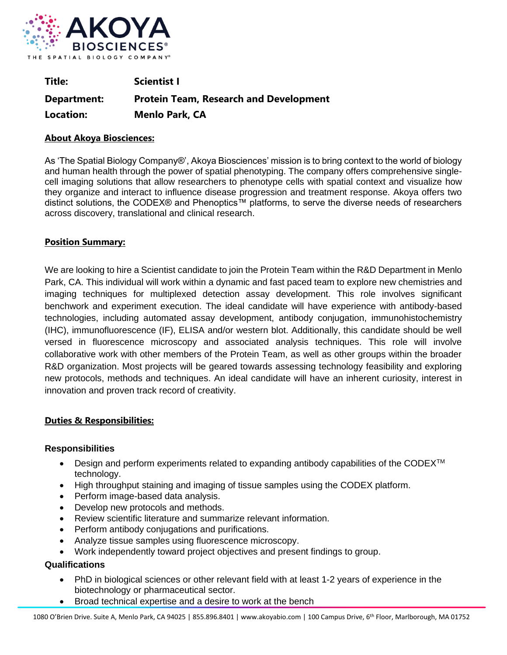

| Title:      | <b>Scientist I</b>                            |
|-------------|-----------------------------------------------|
| Department: | <b>Protein Team, Research and Development</b> |
| Location:   | <b>Menlo Park, CA</b>                         |

## **About Akoya Biosciences:**

As 'The Spatial Biology Company®', Akoya Biosciences' mission is to bring context to the world of biology and human health through the power of spatial phenotyping. The company offers comprehensive singlecell imaging solutions that allow researchers to phenotype cells with spatial context and visualize how they organize and interact to influence disease progression and treatment response. Akoya offers two distinct solutions, the CODEX® and Phenoptics™ platforms, to serve the diverse needs of researchers across discovery, translational and clinical research.

## **Position Summary:**

We are looking to hire a Scientist candidate to join the Protein Team within the R&D Department in Menlo Park, CA. This individual will work within a dynamic and fast paced team to explore new chemistries and imaging techniques for multiplexed detection assay development. This role involves significant benchwork and experiment execution. The ideal candidate will have experience with antibody-based technologies, including automated assay development, antibody conjugation, immunohistochemistry (IHC), immunofluorescence (IF), ELISA and/or western blot. Additionally, this candidate should be well versed in fluorescence microscopy and associated analysis techniques. This role will involve collaborative work with other members of the Protein Team, as well as other groups within the broader R&D organization. Most projects will be geared towards assessing technology feasibility and exploring new protocols, methods and techniques. An ideal candidate will have an inherent curiosity, interest in innovation and proven track record of creativity.

# **Duties & Responsibilities:**

### **Responsibilities**

- Design and perform experiments related to expanding antibody capabilities of the CODEX<sup>™</sup> technology.
- High throughput staining and imaging of tissue samples using the CODEX platform.
- Perform image-based data analysis.
- Develop new protocols and methods.
- Review scientific literature and summarize relevant information.
- Perform antibody conjugations and purifications.
- Analyze tissue samples using fluorescence microscopy.
- Work independently toward project objectives and present findings to group.

# **Qualifications**

- PhD in biological sciences or other relevant field with at least 1-2 years of experience in the biotechnology or pharmaceutical sector.
- Broad technical expertise and a desire to work at the bench